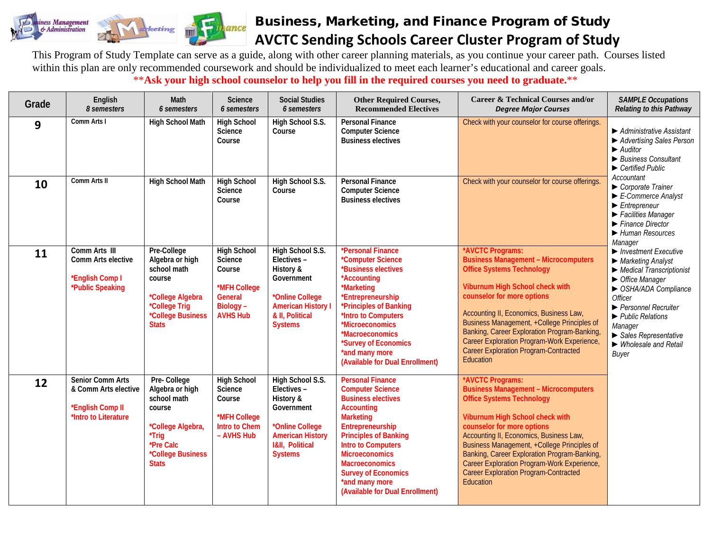

## Business, Marketing, and Finance Program of Study **AVCTC Sending Schools Career Cluster Program of Study**

This Program of Study Template can serve as a guide, along with other career planning materials, as you continue your career path. Courses listed within this plan are only recommended coursework and should be individualized to meet each learner's educational and career goals. \*\***Ask your high school counselor to help you fill in the required courses you need to graduate.**\*\*

| Grade | English<br>8 semesters                                                                      | Math<br>6 semesters                                                                                                                     | Science<br>6 semesters                                                                             | <b>Social Studies</b><br>6 semesters                                                                                                                    | <b>Other Required Courses,</b><br><b>Recommended Electives</b>                                                                                                                                                                                                                                                                                 | <b>Career &amp; Technical Courses and/or</b><br><b>Degree Major Courses</b>                                                                                                                                                                                                                                                                                                                                                | <b>SAMPLE Occupations</b><br><b>Relating to this Pathway</b>                                                                                                                                                                                                                                                                                                                                                                                                                                                                                                                                                                                     |
|-------|---------------------------------------------------------------------------------------------|-----------------------------------------------------------------------------------------------------------------------------------------|----------------------------------------------------------------------------------------------------|---------------------------------------------------------------------------------------------------------------------------------------------------------|------------------------------------------------------------------------------------------------------------------------------------------------------------------------------------------------------------------------------------------------------------------------------------------------------------------------------------------------|----------------------------------------------------------------------------------------------------------------------------------------------------------------------------------------------------------------------------------------------------------------------------------------------------------------------------------------------------------------------------------------------------------------------------|--------------------------------------------------------------------------------------------------------------------------------------------------------------------------------------------------------------------------------------------------------------------------------------------------------------------------------------------------------------------------------------------------------------------------------------------------------------------------------------------------------------------------------------------------------------------------------------------------------------------------------------------------|
| 9     | Comm Arts I                                                                                 | <b>High School Math</b>                                                                                                                 | <b>High School</b><br>Science<br>Course                                                            | High School S.S.<br>Course                                                                                                                              | <b>Personal Finance</b><br><b>Computer Science</b><br><b>Business electives</b>                                                                                                                                                                                                                                                                | Check with your counselor for course offerings.                                                                                                                                                                                                                                                                                                                                                                            | Administrative Assistant<br>Advertising Sales Person<br>$\blacktriangleright$ Auditor<br>▶ Business Consultant<br>$\blacktriangleright$ Certified Public                                                                                                                                                                                                                                                                                                                                                                                                                                                                                         |
| 10    | Comm Arts II                                                                                | <b>High School Math</b>                                                                                                                 | <b>High School</b><br>Science<br>Course                                                            | High School S.S.<br>Course                                                                                                                              | <b>Personal Finance</b><br><b>Computer Science</b><br><b>Business electives</b>                                                                                                                                                                                                                                                                | Check with your counselor for course offerings                                                                                                                                                                                                                                                                                                                                                                             | Accountant<br>$\triangleright$ Corporate Trainer<br>$\blacktriangleright$ E-Commerce Analyst<br>$\blacktriangleright$ Entrepreneur<br>Facilities Manager<br>$\blacktriangleright$ Finance Director<br>Human Resources<br>Manager<br>$\blacktriangleright$ Investment Executive<br>$\blacktriangleright$ Marketing Analyst<br>$\blacktriangleright$ Medical Transcriptionist<br>$\triangleright$ Office Manager<br>SHA/ADA Compliance<br><b>Officer</b><br>▶ Personnel Recruiter<br>$\blacktriangleright$ Public Relations<br>Manager<br>$\blacktriangleright$ Sales Representative<br>$\blacktriangleright$ Wholesale and Retail<br><b>Buyer</b> |
| 11    | Comm Arts III<br>Comm Arts elective<br>*English Comp I<br>*Public Speaking                  | Pre-College<br>Algebra or high<br>school math<br>course<br>*College Algebra<br>*College Trig<br>*College Business<br><b>Stats</b>       | <b>High School</b><br>Science<br>Course<br>*MFH College<br>General<br>Biology -<br><b>AVHS Hub</b> | High School S.S.<br>Electives-<br>History &<br>Government<br>*Online College<br><b>American History I</b><br>& II, Political<br><b>Systems</b>          | *Personal Finance<br>*Computer Science<br>*Business electives<br>*Accounting<br>*Marketing<br>*Entrepreneurship<br>*Principles of Banking<br>*Intro to Computers<br>*Microeconomics<br>*Macroeconomics<br>*Survey of Economics<br>*and many more<br>(Available for Dual Enrollment)                                                            | *AVCTC Programs:<br><b>Business Management - Microcomputers</b><br><b>Office Systems Technology</b><br>Viburnum High School check with<br>counselor for more options<br>Accounting II, Economics, Business Law,<br>Business Management, +College Principles of<br>Banking, Career Exploration Program-Banking,<br>Career Exploration Program-Work Experience,<br><b>Career Exploration Program-Contracted</b><br>Education |                                                                                                                                                                                                                                                                                                                                                                                                                                                                                                                                                                                                                                                  |
| 12    | <b>Senior Comm Arts</b><br>& Comm Arts elective<br>*English Comp II<br>*Intro to Literature | Pre-College<br>Algebra or high<br>school math<br>course<br>*College Algebra,<br>*Trig<br>*Pre Calc<br>*College Business<br><b>Stats</b> | <b>High School</b><br>Science<br>Course<br>*MFH College<br><b>Intro to Chem</b><br>- AVHS Hub      | High School S.S.<br>Electives-<br>History &<br>Government<br>*Online College<br><b>American History</b><br><b>I&amp;II, Political</b><br><b>Systems</b> | <b>Personal Finance</b><br><b>Computer Science</b><br><b>Business electives</b><br><b>Accounting</b><br><b>Marketing</b><br>Entrepreneurship<br><b>Principles of Banking</b><br><b>Intro to Computers</b><br><b>Microeconomics</b><br><b>Macroeconomics</b><br><b>Survey of Economics</b><br>*and many more<br>(Available for Dual Enrollment) | *AVCTC Programs:<br><b>Business Management - Microcomputers</b><br><b>Office Systems Technology</b><br>Viburnum High School check with<br>counselor for more options<br>Accounting II, Economics, Business Law,<br>Business Management, +College Principles of<br>Banking, Career Exploration Program-Banking,<br>Career Exploration Program-Work Experience,<br><b>Career Exploration Program-Contracted</b><br>Education |                                                                                                                                                                                                                                                                                                                                                                                                                                                                                                                                                                                                                                                  |